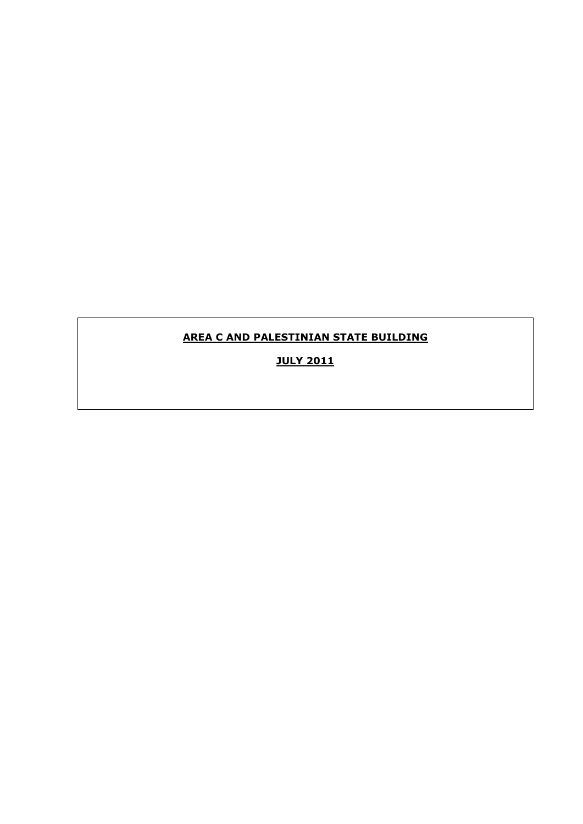# **AREA C AND PALESTINIAN STATE BUILDING**

**JULY 2011**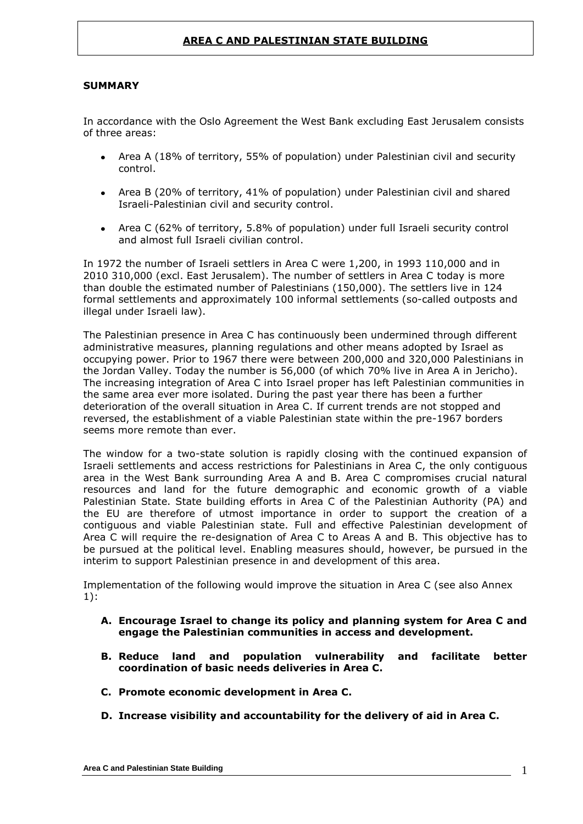# **AREA C AND PALESTINIAN STATE BUILDING**

### **SUMMARY**

In accordance with the Oslo Agreement the West Bank excluding East Jerusalem consists of three areas:

- Area A (18% of territory, 55% of population) under Palestinian civil and security control.
- Area B (20% of territory, 41% of population) under Palestinian civil and shared Israeli-Palestinian civil and security control.
- Area C (62% of territory, 5.8% of population) under full Israeli security control and almost full Israeli civilian control.

In 1972 the number of Israeli settlers in Area C were 1,200, in 1993 110,000 and in 2010 310,000 (excl. East Jerusalem). The number of settlers in Area C today is more than double the estimated number of Palestinians (150,000). The settlers live in 124 formal settlements and approximately 100 informal settlements (so-called outposts and illegal under Israeli law).

The Palestinian presence in Area C has continuously been undermined through different administrative measures, planning regulations and other means adopted by Israel as occupying power. Prior to 1967 there were between 200,000 and 320,000 Palestinians in the Jordan Valley. Today the number is 56,000 (of which 70% live in Area A in Jericho). The increasing integration of Area C into Israel proper has left Palestinian communities in the same area ever more isolated. During the past year there has been a further deterioration of the overall situation in Area C. If current trends are not stopped and reversed, the establishment of a viable Palestinian state within the pre-1967 borders seems more remote than ever.

The window for a two-state solution is rapidly closing with the continued expansion of Israeli settlements and access restrictions for Palestinians in Area C, the only contiguous area in the West Bank surrounding Area A and B. Area C compromises crucial natural resources and land for the future demographic and economic growth of a viable Palestinian State. State building efforts in Area C of the Palestinian Authority (PA) and the EU are therefore of utmost importance in order to support the creation of a contiguous and viable Palestinian state. Full and effective Palestinian development of Area C will require the re-designation of Area C to Areas A and B. This objective has to be pursued at the political level. Enabling measures should, however, be pursued in the interim to support Palestinian presence in and development of this area.

Implementation of the following would improve the situation in Area C (see also Annex 1):

- **A. Encourage Israel to change its policy and planning system for Area C and engage the Palestinian communities in access and development.**
- **B. Reduce land and population vulnerability and facilitate better coordination of basic needs deliveries in Area C.**
- **C. Promote economic development in Area C.**
- **D. Increase visibility and accountability for the delivery of aid in Area C.**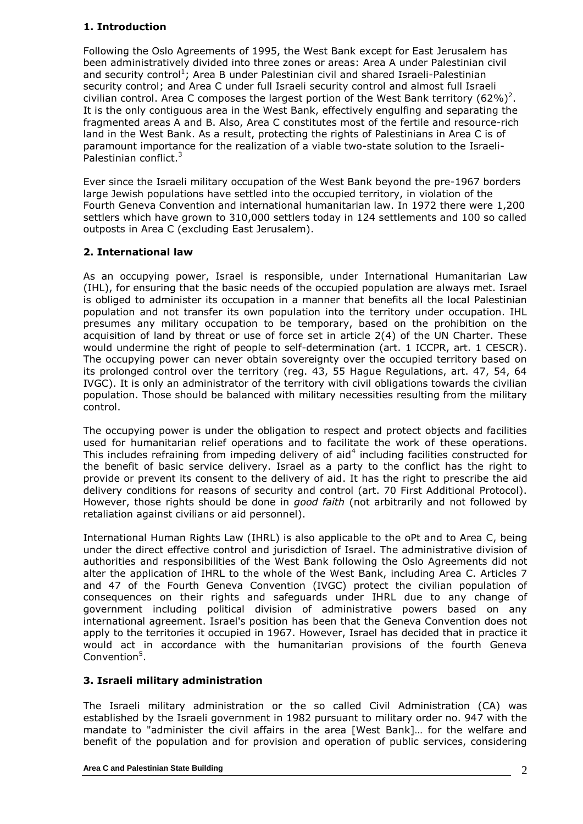# **1. Introduction**

Following the Oslo Agreements of 1995, the West Bank except for East Jerusalem has been administratively divided into three zones or areas: Area A under Palestinian civil and security control<sup>1</sup>; Area B under Palestinian civil and shared Israeli-Palestinian security control; and Area C under full Israeli security control and almost full Israeli civilian control. Area C composes the largest portion of the West Bank territory  $(62\%)^2$ . It is the only contiguous area in the West Bank, effectively engulfing and separating the fragmented areas A and B. Also, Area C constitutes most of the fertile and resource-rich land in the West Bank. As a result, protecting the rights of Palestinians in Area C is of paramount importance for the realization of a viable two-state solution to the Israeli-Palestinian conflict.<sup>3</sup>

Ever since the Israeli military occupation of the West Bank beyond the pre-1967 borders large Jewish populations have settled into the occupied territory, in violation of the Fourth Geneva Convention and international humanitarian law. In 1972 there were 1,200 settlers which have grown to 310,000 settlers today in 124 settlements and 100 so called outposts in Area C (excluding East Jerusalem).

## **2. International law**

As an occupying power, Israel is responsible, under International Humanitarian Law (IHL), for ensuring that the basic needs of the occupied population are always met. Israel is obliged to administer its occupation in a manner that benefits all the local Palestinian population and not transfer its own population into the territory under occupation. IHL presumes any military occupation to be temporary, based on the prohibition on the acquisition of land by threat or use of force set in article 2(4) of the UN Charter. These would undermine the right of people to self-determination (art. 1 ICCPR, art. 1 CESCR). The occupying power can never obtain sovereignty over the occupied territory based on its prolonged control over the territory (reg. 43, 55 Hague Regulations, art. 47, 54, 64 IVGC). It is only an administrator of the territory with civil obligations towards the civilian population. Those should be balanced with military necessities resulting from the military control.

The occupying power is under the obligation to respect and protect objects and facilities used for humanitarian relief operations and to facilitate the work of these operations. This includes refraining from impeding delivery of aid<sup>4</sup> including facilities constructed for the benefit of basic service delivery. Israel as a party to the conflict has the right to provide or prevent its consent to the delivery of aid. It has the right to prescribe the aid delivery conditions for reasons of security and control (art. 70 First Additional Protocol). However, those rights should be done in *good faith* (not arbitrarily and not followed by retaliation against civilians or aid personnel).

International Human Rights Law (IHRL) is also applicable to the oPt and to Area C, being under the direct effective control and jurisdiction of Israel. The administrative division of authorities and responsibilities of the West Bank following the Oslo Agreements did not alter the application of IHRL to the whole of the West Bank, including Area C. Articles 7 and 47 of the Fourth Geneva Convention (IVGC) protect the civilian population of consequences on their rights and safeguards under IHRL due to any change of government including political division of administrative powers based on any international agreement. Israel's position has been that the Geneva Convention does not apply to the territories it occupied in 1967. However, Israel has decided that in practice it would act in accordance with the humanitarian provisions of the fourth Geneva Convention<sup>5</sup>.

## **3. Israeli military administration**

The Israeli military administration or the so called Civil Administration (CA) was established by the Israeli government in 1982 pursuant to military order no. 947 with the mandate to "administer the civil affairs in the area [West Bank]… for the welfare and benefit of the population and for provision and operation of public services, considering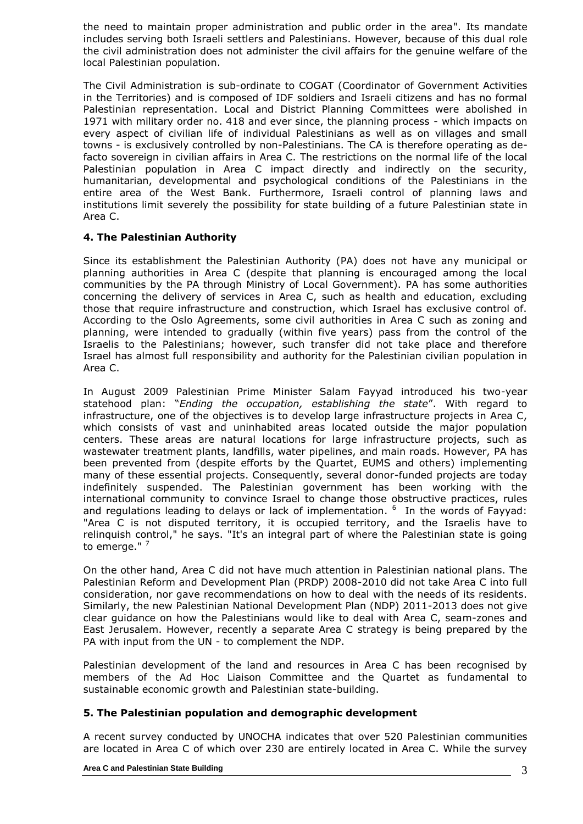the need to maintain proper administration and public order in the area". Its mandate includes serving both Israeli settlers and Palestinians. However, because of this dual role the civil administration does not administer the civil affairs for the genuine welfare of the local Palestinian population.

The Civil Administration is sub-ordinate to COGAT (Coordinator of Government Activities in the Territories) and is composed of IDF soldiers and Israeli citizens and has no formal Palestinian representation. Local and District Planning Committees were abolished in 1971 with military order no. 418 and ever since, the planning process - which impacts on every aspect of civilian life of individual Palestinians as well as on villages and small towns - is exclusively controlled by non-Palestinians. The CA is therefore operating as defacto sovereign in civilian affairs in Area C. The restrictions on the normal life of the local Palestinian population in Area C impact directly and indirectly on the security, humanitarian, developmental and psychological conditions of the Palestinians in the entire area of the West Bank. Furthermore, Israeli control of planning laws and institutions limit severely the possibility for state building of a future Palestinian state in Area C.

# **4. The Palestinian Authority**

Since its establishment the Palestinian Authority (PA) does not have any municipal or planning authorities in Area C (despite that planning is encouraged among the local communities by the PA through Ministry of Local Government). PA has some authorities concerning the delivery of services in Area C, such as health and education, excluding those that require infrastructure and construction, which Israel has exclusive control of. According to the Oslo Agreements, some civil authorities in Area C such as zoning and planning, were intended to gradually (within five years) pass from the control of the Israelis to the Palestinians; however, such transfer did not take place and therefore Israel has almost full responsibility and authority for the Palestinian civilian population in Area C.

In August 2009 Palestinian Prime Minister Salam Fayyad introduced his two-year statehood plan: "*Ending the occupation, establishing the state*". With regard to infrastructure, one of the objectives is to develop large infrastructure projects in Area C, which consists of vast and uninhabited areas located outside the major population centers. These areas are natural locations for large infrastructure projects, such as wastewater treatment plants, landfills, water pipelines, and main roads. However, PA has been prevented from (despite efforts by the Quartet, EUMS and others) implementing many of these essential projects. Consequently, several donor-funded projects are today indefinitely suspended. The Palestinian government has been working with the international community to convince Israel to change those obstructive practices, rules and regulations leading to delays or lack of implementation.  $6\,$  In the words of Fayyad: "Area C is not disputed territory, it is occupied territory, and the Israelis have to relinquish control," he says. "It's an integral part of where the Palestinian state is going to emerge." $'$ 

On the other hand, Area C did not have much attention in Palestinian national plans. The Palestinian Reform and Development Plan (PRDP) 2008-2010 did not take Area C into full consideration, nor gave recommendations on how to deal with the needs of its residents. Similarly, the new Palestinian National Development Plan (NDP) 2011-2013 does not give clear guidance on how the Palestinians would like to deal with Area C, seam-zones and East Jerusalem. However, recently a separate Area C strategy is being prepared by the PA with input from the UN - to complement the NDP.

Palestinian development of the land and resources in Area C has been recognised by members of the Ad Hoc Liaison Committee and the Quartet as fundamental to sustainable economic growth and Palestinian state-building.

## **5. The Palestinian population and demographic development**

A recent survey conducted by UNOCHA indicates that over 520 Palestinian communities are located in Area C of which over 230 are entirely located in Area C. While the survey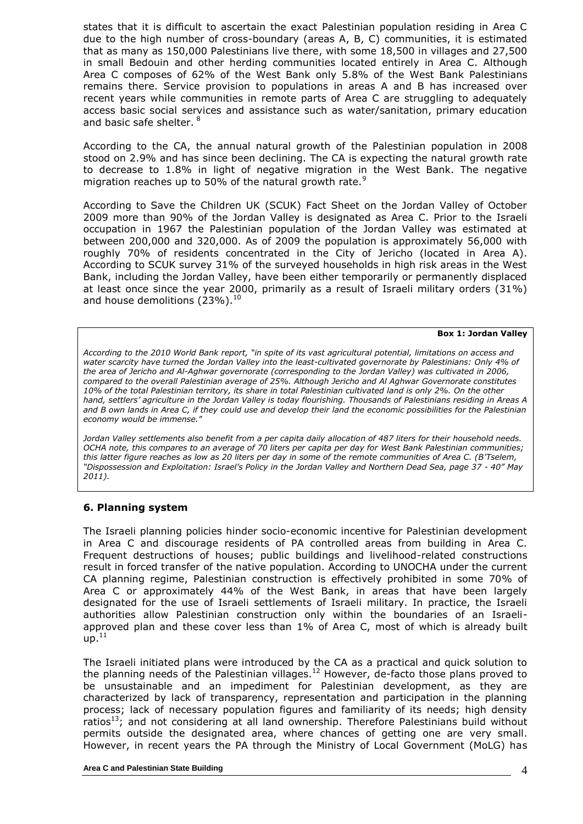states that it is difficult to ascertain the exact Palestinian population residing in Area C due to the high number of cross-boundary (areas A, B, C) communities, it is estimated that as many as 150,000 Palestinians live there, with some 18,500 in villages and 27,500 in small Bedouin and other herding communities located entirely in Area C. Although Area C composes of 62% of the West Bank only 5.8% of the West Bank Palestinians remains there. Service provision to populations in areas A and B has increased over recent years while communities in remote parts of Area C are struggling to adequately access basic social services and assistance such as water/sanitation, primary education and basic safe shelter. <sup>8</sup>

According to the CA, the annual natural growth of the Palestinian population in 2008 stood on 2.9% and has since been declining. The CA is expecting the natural growth rate to decrease to 1.8% in light of negative migration in the West Bank. The negative migration reaches up to 50% of the natural growth rate. $9$ 

According to Save the Children UK (SCUK) Fact Sheet on the Jordan Valley of October 2009 more than 90% of the Jordan Valley is designated as Area C. Prior to the Israeli occupation in 1967 the Palestinian population of the Jordan Valley was estimated at between 200,000 and 320,000. As of 2009 the population is approximately 56,000 with roughly 70% of residents concentrated in the City of Jericho (located in Area A). According to SCUK survey 31% of the surveyed households in high risk areas in the West Bank, including the Jordan Valley, have been either temporarily or permanently displaced at least once since the year 2000, primarily as a result of Israeli military orders (31%) and house demolitions  $(23\%)$ .<sup>10</sup>

#### **Box 1: Jordan Valley**

*According to the 2010 World Bank report, "in spite of its vast agricultural potential, limitations on access and water scarcity have turned the Jordan Valley into the least-cultivated governorate by Palestinians: Only 4% of the area of Jericho and Al-Aghwar governorate (corresponding to the Jordan Valley) was cultivated in 2006, compared to the overall Palestinian average of 25%. Although Jericho and Al Aghwar Governorate constitutes 10% of the total Palestinian territory, its share in total Palestinian cultivated land is only 2%. On the other hand, settlers' agriculture in the Jordan Valley is today flourishing. Thousands of Palestinians residing in Areas A and B own lands in Area C, if they could use and develop their land the economic possibilities for the Palestinian economy would be immense."*

*Jordan Valley settlements also benefit from a per capita daily allocation of 487 liters for their household needs. OCHA note, this compares to an average of 70 liters per capita per day for West Bank Palestinian communities; this latter figure reaches as low as 20 liters per day in some of the remote communities of Area C. (B'Tselem, "Dispossession and Exploitation: Israel's Policy in the Jordan Valley and Northern Dead Sea, page 37 - 40" May 2011).*

## **6. Planning system**

The Israeli planning policies hinder socio-economic incentive for Palestinian development in Area C and discourage residents of PA controlled areas from building in Area C. Frequent destructions of houses; public buildings and livelihood-related constructions result in forced transfer of the native population. According to UNOCHA under the current CA planning regime, Palestinian construction is effectively prohibited in some 70% of Area C or approximately 44% of the West Bank, in areas that have been largely designated for the use of Israeli settlements of Israeli military. In practice, the Israeli authorities allow Palestinian construction only within the boundaries of an Israeliapproved plan and these cover less than 1% of Area C, most of which is already built  $up.11$ 

The Israeli initiated plans were introduced by the CA as a practical and quick solution to the planning needs of the Palestinian villages.<sup>12</sup> However, de-facto those plans proved to be unsustainable and an impediment for Palestinian development, as they are characterized by lack of transparency, representation and participation in the planning process; lack of necessary population figures and familiarity of its needs; high density ratios<sup>13</sup>; and not considering at all land ownership. Therefore Palestinians build without permits outside the designated area, where chances of getting one are very small. However, in recent years the PA through the Ministry of Local Government (MoLG) has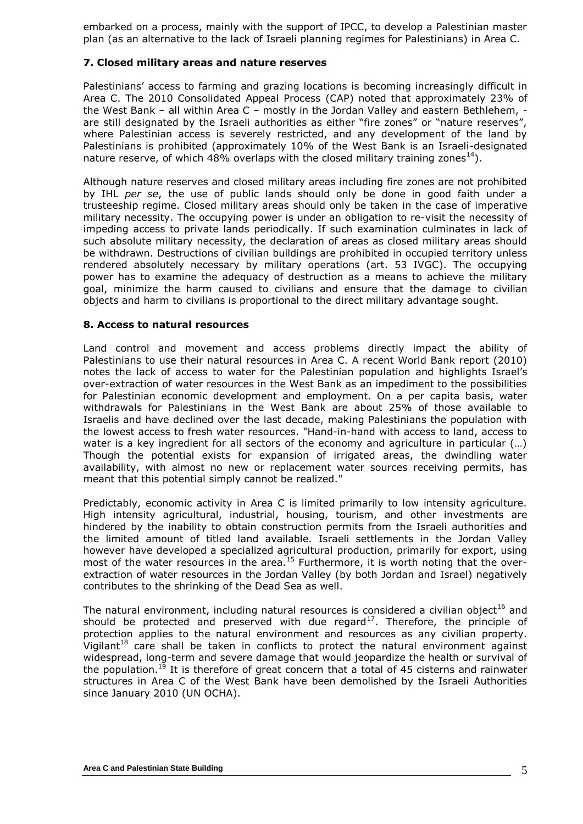embarked on a process, mainly with the support of IPCC, to develop a Palestinian master plan (as an alternative to the lack of Israeli planning regimes for Palestinians) in Area C.

### **7. Closed military areas and nature reserves**

Palestinians' access to farming and grazing locations is becoming increasingly difficult in Area C. The 2010 Consolidated Appeal Process (CAP) noted that approximately 23% of the West Bank – all within Area C – mostly in the Jordan Valley and eastern Bethlehem, are still designated by the Israeli authorities as either "fire zones" or "nature reserves", where Palestinian access is severely restricted, and any development of the land by Palestinians is prohibited (approximately 10% of the West Bank is an Israeli-designated nature reserve, of which 48% overlaps with the closed military training zones<sup>14</sup>).

Although nature reserves and closed military areas including fire zones are not prohibited by IHL *per se*, the use of public lands should only be done in good faith under a trusteeship regime. Closed military areas should only be taken in the case of imperative military necessity. The occupying power is under an obligation to re-visit the necessity of impeding access to private lands periodically. If such examination culminates in lack of such absolute military necessity, the declaration of areas as closed military areas should be withdrawn. Destructions of civilian buildings are prohibited in occupied territory unless rendered absolutely necessary by military operations (art. 53 IVGC). The occupying power has to examine the adequacy of destruction as a means to achieve the military goal, minimize the harm caused to civilians and ensure that the damage to civilian objects and harm to civilians is proportional to the direct military advantage sought.

### **8. Access to natural resources**

Land control and movement and access problems directly impact the ability of Palestinians to use their natural resources in Area C. A recent World Bank report (2010) notes the lack of access to water for the Palestinian population and highlights Israel's over-extraction of water resources in the West Bank as an impediment to the possibilities for Palestinian economic development and employment. On a per capita basis, water withdrawals for Palestinians in the West Bank are about 25% of those available to Israelis and have declined over the last decade, making Palestinians the population with the lowest access to fresh water resources. "Hand-in-hand with access to land, access to water is a key ingredient for all sectors of the economy and agriculture in particular (...) Though the potential exists for expansion of irrigated areas, the dwindling water availability, with almost no new or replacement water sources receiving permits, has meant that this potential simply cannot be realized."

Predictably, economic activity in Area C is limited primarily to low intensity agriculture. High intensity agricultural, industrial, housing, tourism, and other investments are hindered by the inability to obtain construction permits from the Israeli authorities and the limited amount of titled land available. Israeli settlements in the Jordan Valley however have developed a specialized agricultural production, primarily for export, using most of the water resources in the area.<sup>15</sup> Furthermore, it is worth noting that the overextraction of water resources in the Jordan Valley (by both Jordan and Israel) negatively contributes to the shrinking of the Dead Sea as well.

The natural environment, including natural resources is considered a civilian object<sup>16</sup> and should be protected and preserved with due regard<sup>17</sup>. Therefore, the principle of protection applies to the natural environment and resources as any civilian property. Vigilant<sup>18</sup> care shall be taken in conflicts to protect the natural environment against widespread, long-term and severe damage that would jeopardize the health or survival of the population.<sup>19</sup> It is therefore of great concern that a total of 45 cisterns and rainwater structures in Area C of the West Bank have been demolished by the Israeli Authorities since January 2010 (UN OCHA).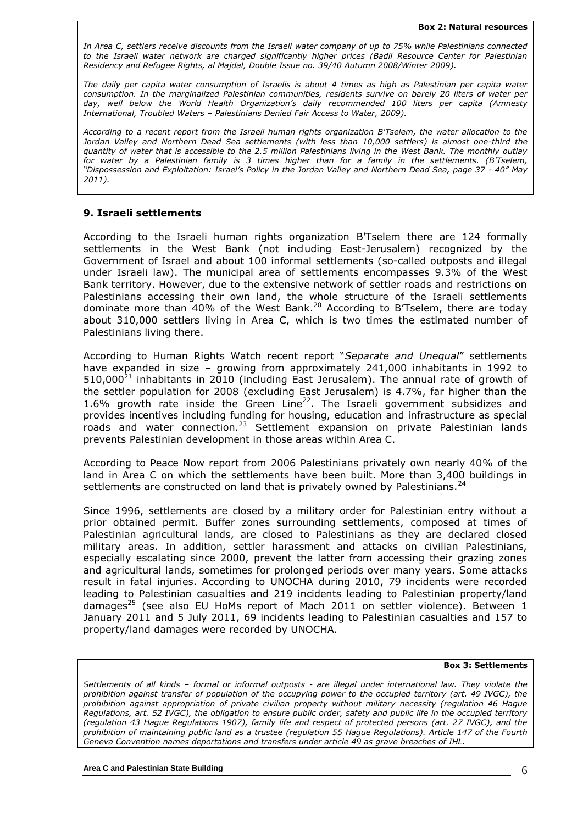*In Area C, settlers receive discounts from the Israeli water company of up to 75% while Palestinians connected to the Israeli water network are charged significantly higher prices (Badil Resource Center for Palestinian Residency and Refugee Rights, al Majdal, Double Issue no. 39/40 Autumn 2008/Winter 2009).* 

*The daily per capita water consumption of Israelis is about 4 times as high as Palestinian per capita water consumption. In the marginalized Palestinian communities, residents survive on barely 20 liters of water per day, well below the World Health Organization's daily recommended 100 liters per capita (Amnesty International, Troubled Waters – Palestinians Denied Fair Access to Water, 2009).*

*According to a recent report from the Israeli human rights organization B'Tselem, the water allocation to the Jordan Valley and Northern Dead Sea settlements (with less than 10,000 settlers) is almost one-third the quantity of water that is accessible to the 2.5 million Palestinians living in the West Bank. The monthly outlay for water by a Palestinian family is 3 times higher than for a family in the settlements. (B'Tselem, "Dispossession and Exploitation: Israel's Policy in the Jordan Valley and Northern Dead Sea, page 37 - 40" May 2011).*

### **9. Israeli settlements**

According to the Israeli human rights organization B'Tselem there are 124 formally settlements in the West Bank (not including East-Jerusalem) recognized by the Government of Israel and about 100 informal settlements (so-called outposts and illegal under Israeli law). The municipal area of settlements encompasses 9.3% of the West Bank territory. However, due to the extensive network of settler roads and restrictions on Palestinians accessing their own land, the whole structure of the Israeli settlements dominate more than 40% of the West Bank.<sup>20</sup> According to B'Tselem, there are today about 310,000 settlers living in Area C, which is two times the estimated number of Palestinians living there.

According to Human Rights Watch recent report "*Separate and Unequal*" settlements have expanded in size - growing from approximately 241,000 inhabitants in 1992 to  $510,000<sup>21</sup>$  inhabitants in 2010 (including East Jerusalem). The annual rate of growth of the settler population for 2008 (excluding East Jerusalem) is 4.7%, far higher than the 1.6% growth rate inside the Green Line<sup>22</sup>. The Israeli government subsidizes and provides incentives including funding for housing, education and infrastructure as special roads and water connection.<sup>23</sup> Settlement expansion on private Palestinian lands prevents Palestinian development in those areas within Area C.

According to Peace Now report from 2006 Palestinians privately own nearly 40% of the land in Area C on which the settlements have been built. More than 3,400 buildings in settlements are constructed on land that is privately owned by Palestinians.<sup>24</sup>

Since 1996, settlements are closed by a military order for Palestinian entry without a prior obtained permit. Buffer zones surrounding settlements, composed at times of Palestinian agricultural lands, are closed to Palestinians as they are declared closed military areas. In addition, settler harassment and attacks on civilian Palestinians, especially escalating since 2000, prevent the latter from accessing their grazing zones and agricultural lands, sometimes for prolonged periods over many years. Some attacks result in fatal injuries. According to UNOCHA during 2010, 79 incidents were recorded leading to Palestinian casualties and 219 incidents leading to Palestinian property/land damages<sup>25</sup> (see also EU HoMs report of Mach 2011 on settler violence). Between 1 January 2011 and 5 July 2011, 69 incidents leading to Palestinian casualties and 157 to property/land damages were recorded by UNOCHA.

#### **Box 3: Settlements**

*Settlements of all kinds – formal or informal outposts - are illegal under international law. They violate the prohibition against transfer of population of the occupying power to the occupied territory (art. 49 IVGC), the prohibition against appropriation of private civilian property without military necessity (regulation 46 Hague Regulations, art. 52 IVGC), the obligation to ensure public order, safety and public life in the occupied territory (regulation 43 Hague Regulations 1907), family life and respect of protected persons (art. 27 IVGC), and the prohibition of maintaining public land as a trustee (regulation 55 Hague Regulations). Article 147 of the Fourth Geneva Convention names deportations and transfers under article 49 as grave breaches of IHL.*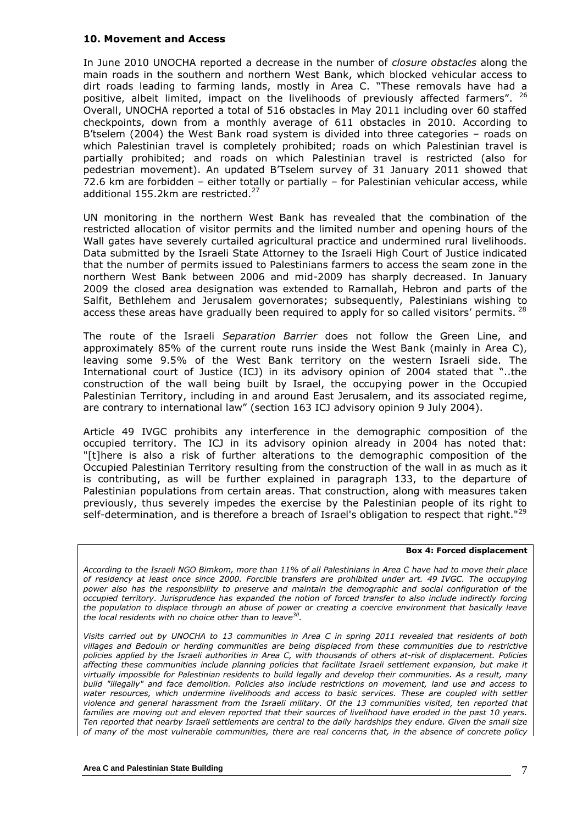### **10. Movement and Access**

In June 2010 UNOCHA reported a decrease in the number of *closure obstacles* along the main roads in the southern and northern West Bank, which blocked vehicular access to dirt roads leading to farming lands, mostly in Area C. "These removals have had a positive, albeit limited, impact on the livelihoods of previously affected farmers". <sup>26</sup> Overall, UNOCHA reported a total of 516 obstacles in May 2011 including over 60 staffed checkpoints, down from a monthly average of 611 obstacles in 2010. According to B'tselem (2004) the West Bank road system is divided into three categories – roads on which Palestinian travel is completely prohibited; roads on which Palestinian travel is partially prohibited; and roads on which Palestinian travel is restricted (also for pedestrian movement). An updated B'Tselem survey of 31 January 2011 showed that 72.6 km are forbidden – either totally or partially – for Palestinian vehicular access, while additional 155.2km are restricted.<sup>27</sup>

UN monitoring in the northern West Bank has revealed that the combination of the restricted allocation of visitor permits and the limited number and opening hours of the Wall gates have severely curtailed agricultural practice and undermined rural livelihoods. Data submitted by the Israeli State Attorney to the Israeli High Court of Justice indicated that the number of permits issued to Palestinians farmers to access the seam zone in the northern West Bank between 2006 and mid-2009 has sharply decreased. In January 2009 the closed area designation was extended to Ramallah, Hebron and parts of the Salfit, Bethlehem and Jerusalem governorates; subsequently, Palestinians wishing to access these areas have gradually been required to apply for so called visitors' permits. <sup>28</sup>

The route of the Israeli *Separation Barrier* does not follow the Green Line, and approximately 85% of the current route runs inside the West Bank (mainly in Area C), leaving some 9.5% of the West Bank territory on the western Israeli side. The International court of Justice (ICJ) in its advisory opinion of 2004 stated that "..the construction of the wall being built by Israel, the occupying power in the Occupied Palestinian Territory, including in and around East Jerusalem, and its associated regime, are contrary to international law" (section 163 ICJ advisory opinion 9 July 2004).

Article 49 IVGC prohibits any interference in the demographic composition of the occupied territory. The ICJ in its advisory opinion already in 2004 has noted that: "[t]here is also a risk of further alterations to the demographic composition of the Occupied Palestinian Territory resulting from the construction of the wall in as much as it is contributing, as will be further explained in paragraph 133, to the departure of Palestinian populations from certain areas. That construction, along with measures taken previously, thus severely impedes the exercise by the Palestinian people of its right to self-determination, and is therefore a breach of Israel's obligation to respect that right."<sup>29</sup>

#### **Box 4: Forced displacement**

*According to the Israeli NGO Bimkom, more than 11% of all Palestinians in Area C have had to move their place of residency at least once since 2000. Forcible transfers are prohibited under art. 49 IVGC. The occupying power also has the responsibility to preserve and maintain the demographic and social configuration of the occupied territory. Jurisprudence has expanded the notion of forced transfer to also include indirectly forcing the population to displace through an abuse of power or creating a coercive environment that basically leave the local residents with no choice other than to leave<sup>30</sup> .*

*Visits carried out by UNOCHA to 13 communities in Area C in spring 2011 revealed that residents of both villages and Bedouin or herding communities are being displaced from these communities due to restrictive policies applied by the Israeli authorities in Area C, with thousands of others at-risk of displacement. Policies affecting these communities include planning policies that facilitate Israeli settlement expansion, but make it virtually impossible for Palestinian residents to build legally and develop their communities. As a result, many build "illegally" and face demolition. Policies also include restrictions on movement, land use and access to water resources, which undermine livelihoods and access to basic services. These are coupled with settler violence and general harassment from the Israeli military. Of the 13 communities visited, ten reported that*  families are moving out and eleven reported that their sources of livelihood have eroded in the past 10 vears. *Ten reported that nearby Israeli settlements are central to the daily hardships they endure. Given the small size of many of the most vulnerable communities, there are real concerns that, in the absence of concrete policy*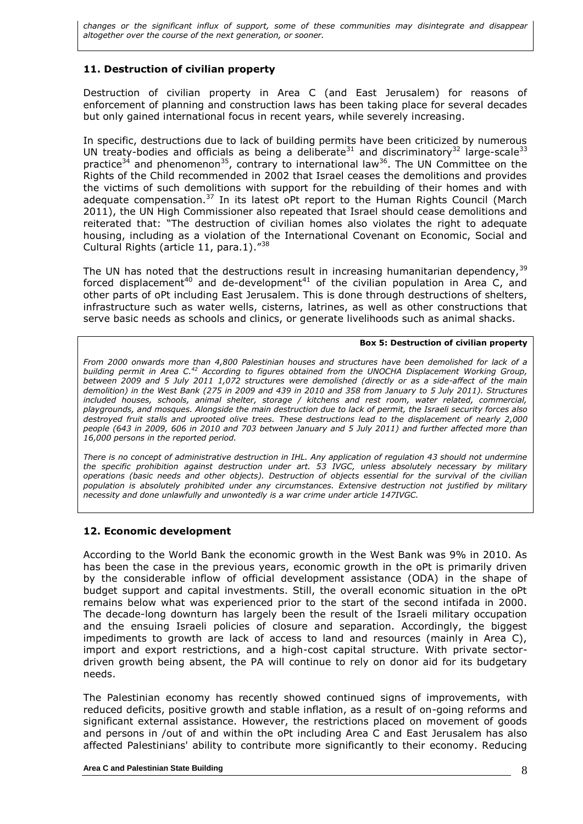*changes or the significant influx of support, some of these communities may disintegrate and disappear altogether over the course of the next generation, or sooner.*

# **11. Destruction of civilian property**

Destruction of civilian property in Area C (and East Jerusalem) for reasons of enforcement of planning and construction laws has been taking place for several decades but only gained international focus in recent years, while severely increasing.

In specific, destructions due to lack of building permits have been criticized by numerous UN treaty-bodies and officials as being a deliberate<sup>31</sup> and discriminatory<sup>32</sup> large-scale<sup>33</sup> practice<sup>34</sup> and phenomenon<sup>35</sup>, contrary to international law<sup>36</sup>. The UN Committee on the Rights of the Child recommended in 2002 that Israel ceases the demolitions and provides the victims of such demolitions with support for the rebuilding of their homes and with adequate compensation.<sup>37</sup> In its latest opt report to the Human Rights Council (March 2011), the UN High Commissioner also repeated that Israel should cease demolitions and reiterated that: "The destruction of civilian homes also violates the right to adequate housing, including as a violation of the International Covenant on Economic, Social and Cultural Rights (article 11, para.1)."<sup>38</sup>

The UN has noted that the destructions result in increasing humanitarian dependency,  $39$ forced displacement<sup>40</sup> and de-development<sup>41</sup> of the civilian population in Area C, and other parts of oPt including East Jerusalem. This is done through destructions of shelters, infrastructure such as water wells, cisterns, latrines, as well as other constructions that serve basic needs as schools and clinics, or generate livelihoods such as animal shacks.

### **Box 5: Destruction of civilian property**

*From 2000 onwards more than 4,800 Palestinian houses and structures have been demolished for lack of a building permit in Area C.<sup>42</sup> According to figures obtained from the UNOCHA Displacement Working Group, between 2009 and 5 July 2011 1,072 structures were demolished (directly or as a side-affect of the main demolition) in the West Bank (275 in 2009 and 439 in 2010 and 358 from January to 5 July 2011). Structures included houses, schools, animal shelter, storage / kitchens and rest room, water related, commercial, playgrounds, and mosques. Alongside the main destruction due to lack of permit, the Israeli security forces also destroyed fruit stalls and uprooted olive trees. These destructions lead to the displacement of nearly 2,000 people (643 in 2009, 606 in 2010 and 703 between January and 5 July 2011) and further affected more than 16,000 persons in the reported period.*

There is no concept of administrative destruction in IHL. Any application of regulation 43 should not undermine *the specific prohibition against destruction under art. 53 IVGC, unless absolutely necessary by military operations (basic needs and other objects). Destruction of objects essential for the survival of the civilian population is absolutely prohibited under any circumstances. Extensive destruction not justified by military necessity and done unlawfully and unwontedly is a war crime under article 147IVGC.*

## **12. Economic development**

According to the World Bank the economic growth in the West Bank was 9% in 2010. As has been the case in the previous years, economic growth in the oPt is primarily driven by the considerable inflow of official development assistance (ODA) in the shape of budget support and capital investments. Still, the overall economic situation in the oPt remains below what was experienced prior to the start of the second intifada in 2000. The decade-long downturn has largely been the result of the Israeli military occupation and the ensuing Israeli policies of closure and separation. Accordingly, the biggest impediments to growth are lack of access to land and resources (mainly in Area C), import and export restrictions, and a high-cost capital structure. With private sectordriven growth being absent, the PA will continue to rely on donor aid for its budgetary needs.

The Palestinian economy has recently showed continued signs of improvements, with reduced deficits, positive growth and stable inflation, as a result of on-going reforms and significant external assistance. However, the restrictions placed on movement of goods and persons in /out of and within the oPt including Area C and East Jerusalem has also affected Palestinians' ability to contribute more significantly to their economy. Reducing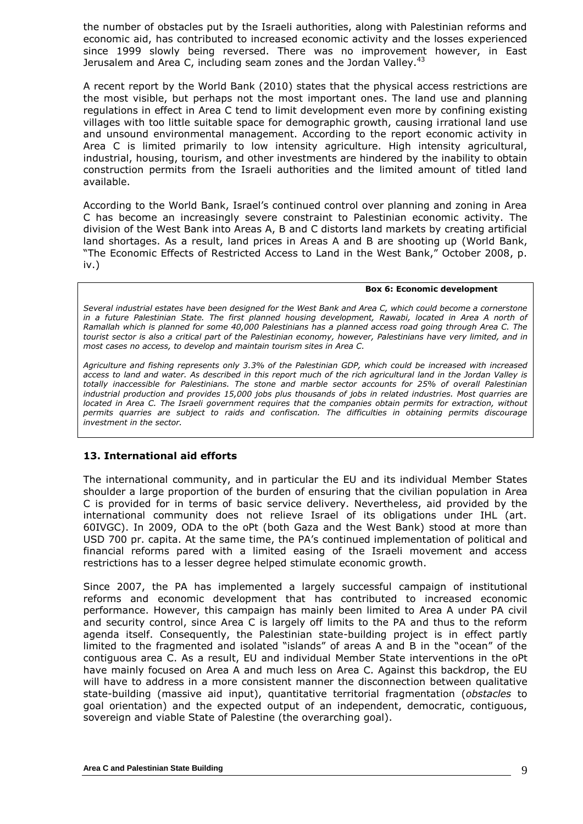the number of obstacles put by the Israeli authorities, along with Palestinian reforms and economic aid, has contributed to increased economic activity and the losses experienced since 1999 slowly being reversed. There was no improvement however, in East Jerusalem and Area C, including seam zones and the Jordan Valley.<sup>43</sup>

A recent report by the World Bank (2010) states that the physical access restrictions are the most visible, but perhaps not the most important ones. The land use and planning regulations in effect in Area C tend to limit development even more by confining existing villages with too little suitable space for demographic growth, causing irrational land use and unsound environmental management. According to the report economic activity in Area C is limited primarily to low intensity agriculture. High intensity agricultural, industrial, housing, tourism, and other investments are hindered by the inability to obtain construction permits from the Israeli authorities and the limited amount of titled land available.

According to the World Bank, Israel's continued control over planning and zoning in Area C has become an increasingly severe constraint to Palestinian economic activity. The division of the West Bank into Areas A, B and C distorts land markets by creating artificial land shortages. As a result, land prices in Areas A and B are shooting up (World Bank, "The Economic Effects of Restricted Access to Land in the West Bank," October 2008, p. iv.)

#### **Box 6: Economic development**

*Several industrial estates have been designed for the West Bank and Area C, which could become a cornerstone in a future Palestinian State. The first planned housing development, Rawabi, located in Area A north of Ramallah which is planned for some 40,000 Palestinians has a planned access road going through Area C. The tourist sector is also a critical part of the Palestinian economy, however, Palestinians have very limited, and in most cases no access, to develop and maintain tourism sites in Area C.*

*Agriculture and fishing represents only 3.3% of the Palestinian GDP, which could be increased with increased access to land and water. As described in this report much of the rich agricultural land in the Jordan Valley is totally inaccessible for Palestinians. The stone and marble sector accounts for 25% of overall Palestinian industrial production and provides 15,000 jobs plus thousands of jobs in related industries. Most quarries are located in Area C. The Israeli government requires that the companies obtain permits for extraction, without permits quarries are subject to raids and confiscation. The difficulties in obtaining permits discourage investment in the sector.*

## **13. International aid efforts**

The international community, and in particular the EU and its individual Member States shoulder a large proportion of the burden of ensuring that the civilian population in Area C is provided for in terms of basic service delivery. Nevertheless, aid provided by the international community does not relieve Israel of its obligations under IHL (art. 60IVGC). In 2009, ODA to the oPt (both Gaza and the West Bank) stood at more than USD 700 pr. capita. At the same time, the PA's continued implementation of political and financial reforms pared with a limited easing of the Israeli movement and access restrictions has to a lesser degree helped stimulate economic growth.

Since 2007, the PA has implemented a largely successful campaign of institutional reforms and economic development that has contributed to increased economic performance. However, this campaign has mainly been limited to Area A under PA civil and security control, since Area C is largely off limits to the PA and thus to the reform agenda itself. Consequently, the Palestinian state-building project is in effect partly limited to the fragmented and isolated "islands" of areas A and B in the "ocean" of the contiguous area C. As a result, EU and individual Member State interventions in the oPt have mainly focused on Area A and much less on Area C. Against this backdrop, the EU will have to address in a more consistent manner the disconnection between qualitative state-building (massive aid input), quantitative territorial fragmentation (*obstacles* to goal orientation) and the expected output of an independent, democratic, contiguous, sovereign and viable State of Palestine (the overarching goal).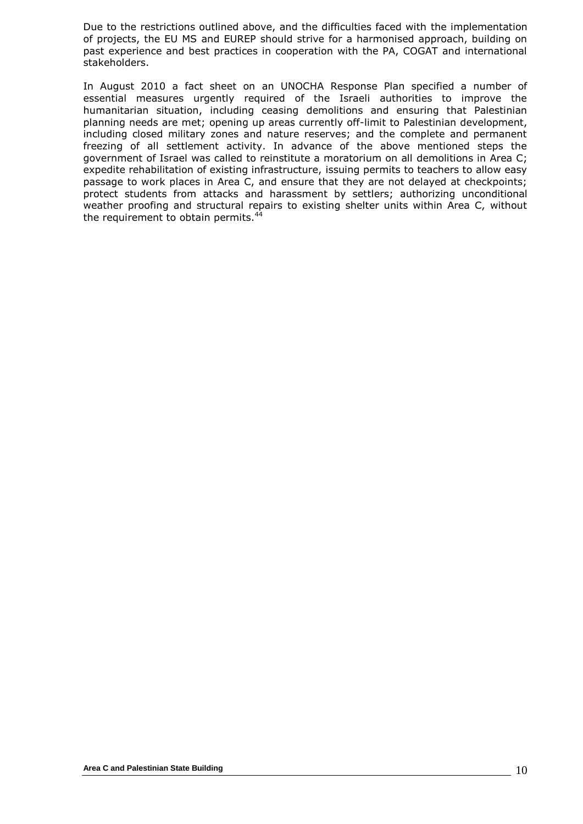Due to the restrictions outlined above, and the difficulties faced with the implementation of projects, the EU MS and EUREP should strive for a harmonised approach, building on past experience and best practices in cooperation with the PA, COGAT and international stakeholders.

In August 2010 a fact sheet on an UNOCHA Response Plan specified a number of essential measures urgently required of the Israeli authorities to improve the humanitarian situation, including ceasing demolitions and ensuring that Palestinian planning needs are met; opening up areas currently off-limit to Palestinian development, including closed military zones and nature reserves; and the complete and permanent freezing of all settlement activity. In advance of the above mentioned steps the government of Israel was called to reinstitute a moratorium on all demolitions in Area C; expedite rehabilitation of existing infrastructure, issuing permits to teachers to allow easy passage to work places in Area C, and ensure that they are not delayed at checkpoints; protect students from attacks and harassment by settlers; authorizing unconditional weather proofing and structural repairs to existing shelter units within Area C, without the requirement to obtain permits.<sup>44</sup>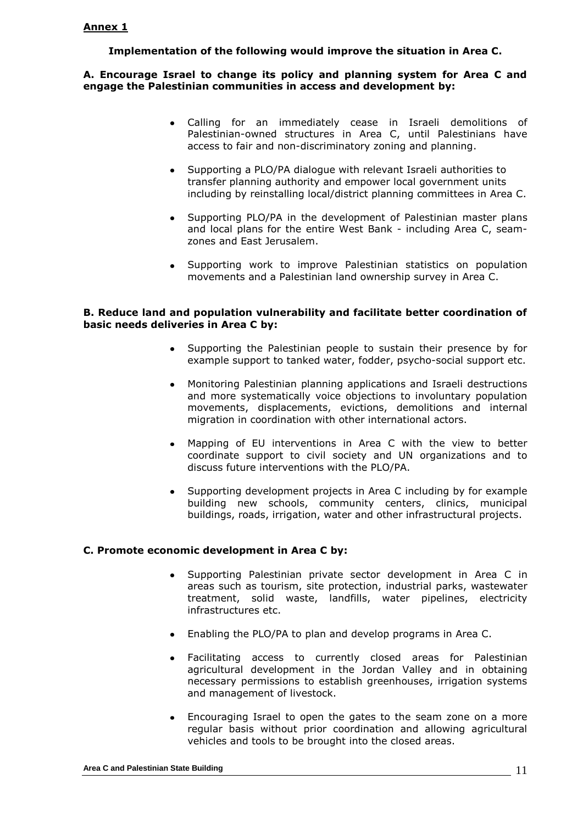### **Annex 1**

## **Implementation of the following would improve the situation in Area C.**

### **A. Encourage Israel to change its policy and planning system for Area C and engage the Palestinian communities in access and development by:**

- Calling for an immediately cease in Israeli demolitions of Palestinian-owned structures in Area C, until Palestinians have access to fair and non-discriminatory zoning and planning.
- Supporting a PLO/PA dialogue with relevant Israeli authorities to transfer planning authority and empower local government units including by reinstalling local/district planning committees in Area C.
- Supporting PLO/PA in the development of Palestinian master plans and local plans for the entire West Bank - including Area C, seamzones and East Jerusalem.
- Supporting work to improve Palestinian statistics on population movements and a Palestinian land ownership survey in Area C.

### **B. Reduce land and population vulnerability and facilitate better coordination of basic needs deliveries in Area C by:**

- Supporting the Palestinian people to sustain their presence by for example support to tanked water, fodder, psycho-social support etc.
- Monitoring Palestinian planning applications and Israeli destructions and more systematically voice objections to involuntary population movements, displacements, evictions, demolitions and internal migration in coordination with other international actors.
- Mapping of EU interventions in Area C with the view to better  $\bullet$ coordinate support to civil society and UN organizations and to discuss future interventions with the PLO/PA.
- Supporting development projects in Area C including by for example building new schools, community centers, clinics, municipal buildings, roads, irrigation, water and other infrastructural projects.

## **C. Promote economic development in Area C by:**

- Supporting Palestinian private sector development in Area C in areas such as tourism, site protection, industrial parks, wastewater treatment, solid waste, landfills, water pipelines, electricity infrastructures etc.
- Enabling the PLO/PA to plan and develop programs in Area C.
- Facilitating access to currently closed areas for Palestinian agricultural development in the Jordan Valley and in obtaining necessary permissions to establish greenhouses, irrigation systems and management of livestock.
- Encouraging Israel to open the gates to the seam zone on a more regular basis without prior coordination and allowing agricultural vehicles and tools to be brought into the closed areas.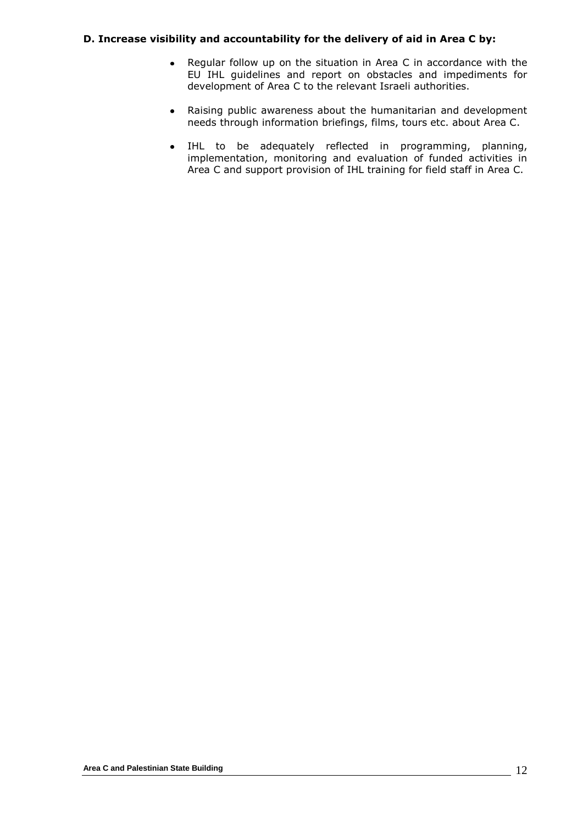## **D. Increase visibility and accountability for the delivery of aid in Area C by:**

- Regular follow up on the situation in Area C in accordance with the EU IHL guidelines and report on obstacles and impediments for development of Area C to the relevant Israeli authorities.
- Raising public awareness about the humanitarian and development  $\bullet$ needs through information briefings, films, tours etc. about Area C.
- IHL to be adequately reflected in programming, planning, implementation, monitoring and evaluation of funded activities in Area C and support provision of IHL training for field staff in Area C.